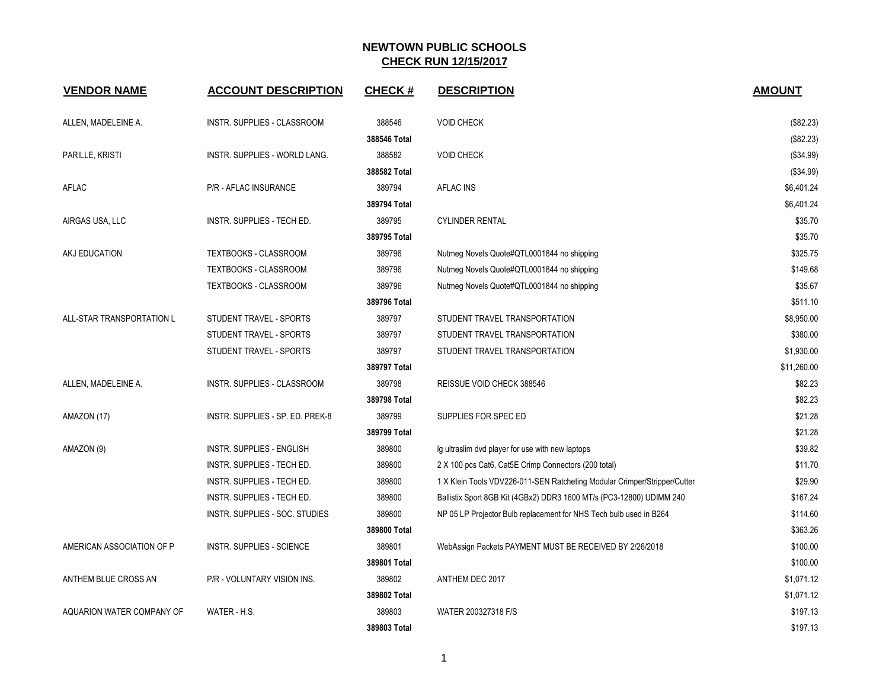| <b>VENDOR NAME</b>        | <b>ACCOUNT DESCRIPTION</b>       | <b>CHECK#</b> | <b>DESCRIPTION</b>                                                        | <b>AMOUNT</b> |
|---------------------------|----------------------------------|---------------|---------------------------------------------------------------------------|---------------|
| ALLEN, MADELEINE A.       | INSTR. SUPPLIES - CLASSROOM      | 388546        | <b>VOID CHECK</b>                                                         | (\$82.23)     |
|                           |                                  | 388546 Total  |                                                                           | (\$82.23)     |
| PARILLE, KRISTI           | INSTR. SUPPLIES - WORLD LANG.    | 388582        | <b>VOID CHECK</b>                                                         | (\$34.99)     |
|                           |                                  | 388582 Total  |                                                                           | ( \$34.99)    |
| AFLAC                     | P/R - AFLAC INSURANCE            | 389794        | <b>AFLAC INS</b>                                                          | \$6,401.24    |
|                           |                                  | 389794 Total  |                                                                           | \$6,401.24    |
| AIRGAS USA, LLC           | INSTR. SUPPLIES - TECH ED.       | 389795        | <b>CYLINDER RENTAL</b>                                                    | \$35.70       |
|                           |                                  | 389795 Total  |                                                                           | \$35.70       |
| AKJ EDUCATION             | <b>TEXTBOOKS - CLASSROOM</b>     | 389796        | Nutmeg Novels Quote#QTL0001844 no shipping                                | \$325.75      |
|                           | <b>TEXTBOOKS - CLASSROOM</b>     | 389796        | Nutmeg Novels Quote#QTL0001844 no shipping                                | \$149.68      |
|                           | <b>TEXTBOOKS - CLASSROOM</b>     | 389796        | Nutmeg Novels Quote#QTL0001844 no shipping                                | \$35.67       |
|                           |                                  | 389796 Total  |                                                                           | \$511.10      |
| ALL-STAR TRANSPORTATION L | STUDENT TRAVEL - SPORTS          | 389797        | STUDENT TRAVEL TRANSPORTATION                                             | \$8,950.00    |
|                           | STUDENT TRAVEL - SPORTS          | 389797        | STUDENT TRAVEL TRANSPORTATION                                             | \$380.00      |
|                           | STUDENT TRAVEL - SPORTS          | 389797        | STUDENT TRAVEL TRANSPORTATION                                             | \$1,930.00    |
|                           |                                  | 389797 Total  |                                                                           | \$11,260.00   |
| ALLEN, MADELEINE A.       | INSTR. SUPPLIES - CLASSROOM      | 389798        | REISSUE VOID CHECK 388546                                                 | \$82.23       |
|                           |                                  | 389798 Total  |                                                                           | \$82.23       |
| AMAZON (17)               | INSTR. SUPPLIES - SP. ED. PREK-8 | 389799        | SUPPLIES FOR SPEC ED                                                      | \$21.28       |
|                           |                                  | 389799 Total  |                                                                           | \$21.28       |
| AMAZON (9)                | <b>INSTR. SUPPLIES - ENGLISH</b> | 389800        | Ig ultraslim dvd player for use with new laptops                          | \$39.82       |
|                           | INSTR. SUPPLIES - TECH ED.       | 389800        | 2 X 100 pcs Cat6, Cat5E Crimp Connectors (200 total)                      | \$11.70       |
|                           | INSTR. SUPPLIES - TECH ED.       | 389800        | 1 X Klein Tools VDV226-011-SEN Ratcheting Modular Crimper/Stripper/Cutter | \$29.90       |
|                           | INSTR. SUPPLIES - TECH ED.       | 389800        | Ballistix Sport 8GB Kit (4GBx2) DDR3 1600 MT/s (PC3-12800) UDIMM 240      | \$167.24      |
|                           | INSTR. SUPPLIES - SOC. STUDIES   | 389800        | NP 05 LP Projector Bulb replacement for NHS Tech bulb used in B264        | \$114.60      |
|                           |                                  | 389800 Total  |                                                                           | \$363.26      |
| AMERICAN ASSOCIATION OF P | <b>INSTR. SUPPLIES - SCIENCE</b> | 389801        | WebAssign Packets PAYMENT MUST BE RECEIVED BY 2/26/2018                   | \$100.00      |
|                           |                                  | 389801 Total  |                                                                           | \$100.00      |
| ANTHEM BLUE CROSS AN      | P/R - VOLUNTARY VISION INS.      | 389802        | ANTHEM DEC 2017                                                           | \$1,071.12    |
|                           |                                  | 389802 Total  |                                                                           | \$1,071.12    |
| AQUARION WATER COMPANY OF | WATER - H.S.                     | 389803        | WATER 200327318 F/S                                                       | \$197.13      |
|                           |                                  | 389803 Total  |                                                                           | \$197.13      |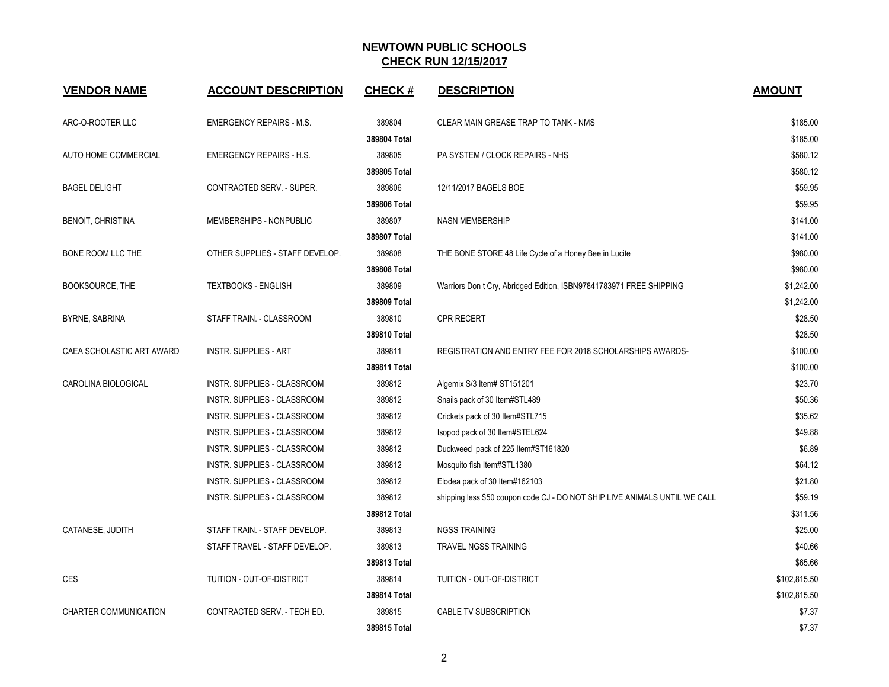| <b>VENDOR NAME</b>        | <b>ACCOUNT DESCRIPTION</b>      | <b>CHECK#</b> | <b>DESCRIPTION</b>                                                         | <b>AMOUNT</b> |
|---------------------------|---------------------------------|---------------|----------------------------------------------------------------------------|---------------|
| ARC-O-ROOTER LLC          | <b>EMERGENCY REPAIRS - M.S.</b> | 389804        | CLEAR MAIN GREASE TRAP TO TANK - NMS                                       | \$185.00      |
|                           |                                 | 389804 Total  |                                                                            | \$185.00      |
| AUTO HOME COMMERCIAL      | <b>EMERGENCY REPAIRS - H.S.</b> | 389805        | PA SYSTEM / CLOCK REPAIRS - NHS                                            | \$580.12      |
|                           |                                 | 389805 Total  |                                                                            | \$580.12      |
| <b>BAGEL DELIGHT</b>      | CONTRACTED SERV. - SUPER.       | 389806        | 12/11/2017 BAGELS BOE                                                      | \$59.95       |
|                           |                                 | 389806 Total  |                                                                            | \$59.95       |
| <b>BENOIT, CHRISTINA</b>  | MEMBERSHIPS - NONPUBLIC         | 389807        | <b>NASN MEMBERSHIP</b>                                                     | \$141.00      |
|                           |                                 | 389807 Total  |                                                                            | \$141.00      |
| BONE ROOM LLC THE         | OTHER SUPPLIES - STAFF DEVELOP. | 389808        | THE BONE STORE 48 Life Cycle of a Honey Bee in Lucite                      | \$980.00      |
|                           |                                 | 389808 Total  |                                                                            | \$980.00      |
| BOOKSOURCE, THE           | <b>TEXTBOOKS - ENGLISH</b>      | 389809        | Warriors Don t Cry, Abridged Edition, ISBN97841783971 FREE SHIPPING        | \$1,242.00    |
|                           |                                 | 389809 Total  |                                                                            | \$1,242.00    |
| BYRNE, SABRINA            | STAFF TRAIN. - CLASSROOM        | 389810        | <b>CPR RECERT</b>                                                          | \$28.50       |
|                           |                                 | 389810 Total  |                                                                            | \$28.50       |
| CAEA SCHOLASTIC ART AWARD | <b>INSTR. SUPPLIES - ART</b>    | 389811        | REGISTRATION AND ENTRY FEE FOR 2018 SCHOLARSHIPS AWARDS-                   | \$100.00      |
|                           |                                 | 389811 Total  |                                                                            | \$100.00      |
| CAROLINA BIOLOGICAL       | INSTR. SUPPLIES - CLASSROOM     | 389812        | Algemix S/3 Item# ST151201                                                 | \$23.70       |
|                           | INSTR. SUPPLIES - CLASSROOM     | 389812        | Snails pack of 30 Item#STL489                                              | \$50.36       |
|                           | INSTR. SUPPLIES - CLASSROOM     | 389812        | Crickets pack of 30 Item#STL715                                            | \$35.62       |
|                           | INSTR. SUPPLIES - CLASSROOM     | 389812        | Isopod pack of 30 Item#STEL624                                             | \$49.88       |
|                           | INSTR. SUPPLIES - CLASSROOM     | 389812        | Duckweed pack of 225 Item#ST161820                                         | \$6.89        |
|                           | INSTR. SUPPLIES - CLASSROOM     | 389812        | Mosquito fish Item#STL1380                                                 | \$64.12       |
|                           | INSTR. SUPPLIES - CLASSROOM     | 389812        | Elodea pack of 30 Item#162103                                              | \$21.80       |
|                           | INSTR. SUPPLIES - CLASSROOM     | 389812        | shipping less \$50 coupon code CJ - DO NOT SHIP LIVE ANIMALS UNTIL WE CALL | \$59.19       |
|                           |                                 | 389812 Total  |                                                                            | \$311.56      |
| CATANESE, JUDITH          | STAFF TRAIN. - STAFF DEVELOP.   | 389813        | <b>NGSS TRAINING</b>                                                       | \$25.00       |
|                           | STAFF TRAVEL - STAFF DEVELOP.   | 389813        | TRAVEL NGSS TRAINING                                                       | \$40.66       |
|                           |                                 | 389813 Total  |                                                                            | \$65.66       |
| <b>CES</b>                | TUITION - OUT-OF-DISTRICT       | 389814        | TUITION - OUT-OF-DISTRICT                                                  | \$102,815.50  |
|                           |                                 | 389814 Total  |                                                                            | \$102,815.50  |
| CHARTER COMMUNICATION     | CONTRACTED SERV. - TECH ED.     | 389815        | CABLE TV SUBSCRIPTION                                                      | \$7.37        |
|                           |                                 | 389815 Total  |                                                                            | \$7.37        |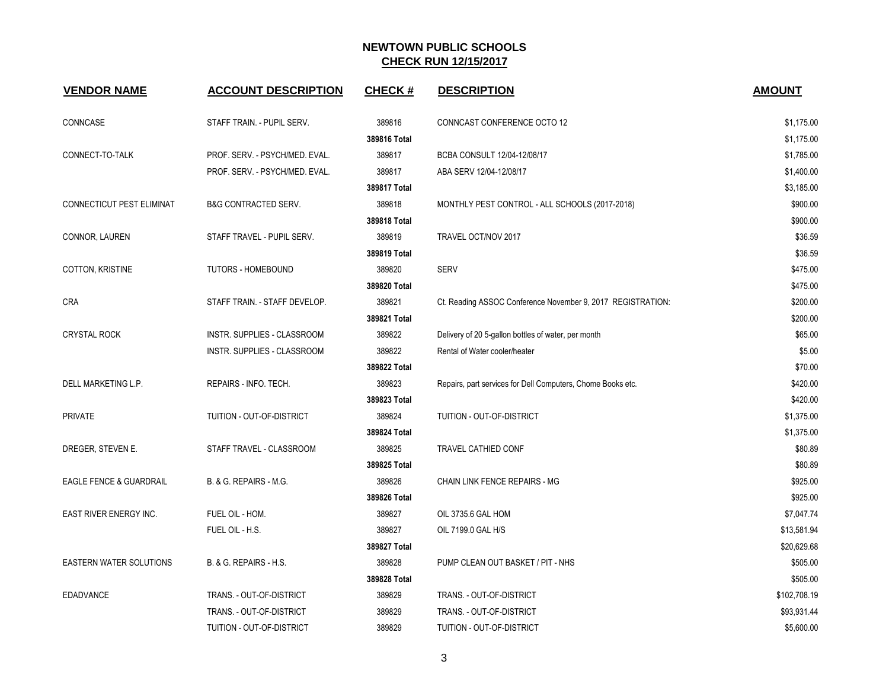| <b>VENDOR NAME</b>                 | <b>ACCOUNT DESCRIPTION</b>      | <b>CHECK#</b> | <b>DESCRIPTION</b>                                          | <b>AMOUNT</b> |
|------------------------------------|---------------------------------|---------------|-------------------------------------------------------------|---------------|
| CONNCASE                           | STAFF TRAIN. - PUPIL SERV.      | 389816        | CONNCAST CONFERENCE OCTO 12                                 | \$1,175.00    |
|                                    |                                 | 389816 Total  |                                                             | \$1,175.00    |
| CONNECT-TO-TALK                    | PROF. SERV. - PSYCH/MED. EVAL.  | 389817        | BCBA CONSULT 12/04-12/08/17                                 | \$1,785.00    |
|                                    | PROF. SERV. - PSYCH/MED. EVAL.  | 389817        | ABA SERV 12/04-12/08/17                                     | \$1,400.00    |
|                                    |                                 | 389817 Total  |                                                             | \$3,185.00    |
| <b>CONNECTICUT PEST ELIMINAT</b>   | <b>B&amp;G CONTRACTED SERV.</b> | 389818        | MONTHLY PEST CONTROL - ALL SCHOOLS (2017-2018)              | \$900.00      |
|                                    |                                 | 389818 Total  |                                                             | \$900.00      |
| CONNOR, LAUREN                     | STAFF TRAVEL - PUPIL SERV.      | 389819        | TRAVEL OCT/NOV 2017                                         | \$36.59       |
|                                    |                                 | 389819 Total  |                                                             | \$36.59       |
| COTTON, KRISTINE                   | <b>TUTORS - HOMEBOUND</b>       | 389820        | SERV                                                        | \$475.00      |
|                                    |                                 | 389820 Total  |                                                             | \$475.00      |
| <b>CRA</b>                         | STAFF TRAIN. - STAFF DEVELOP.   | 389821        | Ct. Reading ASSOC Conference November 9, 2017 REGISTRATION: | \$200.00      |
|                                    |                                 | 389821 Total  |                                                             | \$200.00      |
| <b>CRYSTAL ROCK</b>                | INSTR. SUPPLIES - CLASSROOM     | 389822        | Delivery of 20 5-gallon bottles of water, per month         | \$65.00       |
|                                    | INSTR. SUPPLIES - CLASSROOM     | 389822        | Rental of Water cooler/heater                               | \$5.00        |
|                                    |                                 | 389822 Total  |                                                             | \$70.00       |
| DELL MARKETING L.P.                | REPAIRS - INFO. TECH.           | 389823        | Repairs, part services for Dell Computers, Chome Books etc. | \$420.00      |
|                                    |                                 | 389823 Total  |                                                             | \$420.00      |
| <b>PRIVATE</b>                     | TUITION - OUT-OF-DISTRICT       | 389824        | TUITION - OUT-OF-DISTRICT                                   | \$1,375.00    |
|                                    |                                 | 389824 Total  |                                                             | \$1,375.00    |
| DREGER, STEVEN E.                  | STAFF TRAVEL - CLASSROOM        | 389825        | TRAVEL CATHIED CONF                                         | \$80.89       |
|                                    |                                 | 389825 Total  |                                                             | \$80.89       |
| <b>EAGLE FENCE &amp; GUARDRAIL</b> | B. & G. REPAIRS - M.G.          | 389826        | CHAIN LINK FENCE REPAIRS - MG                               | \$925.00      |
|                                    |                                 | 389826 Total  |                                                             | \$925.00      |
| EAST RIVER ENERGY INC.             | FUEL OIL - HOM.                 | 389827        | OIL 3735.6 GAL HOM                                          | \$7,047.74    |
|                                    | FUEL OIL - H.S.                 | 389827        | OIL 7199.0 GAL H/S                                          | \$13,581.94   |
|                                    |                                 | 389827 Total  |                                                             | \$20,629.68   |
| <b>EASTERN WATER SOLUTIONS</b>     | B. & G. REPAIRS - H.S.          | 389828        | PUMP CLEAN OUT BASKET / PIT - NHS                           | \$505.00      |
|                                    |                                 | 389828 Total  |                                                             | \$505.00      |
| <b>EDADVANCE</b>                   | TRANS. - OUT-OF-DISTRICT        | 389829        | TRANS. - OUT-OF-DISTRICT                                    | \$102,708.19  |
|                                    | TRANS. - OUT-OF-DISTRICT        | 389829        | TRANS. - OUT-OF-DISTRICT                                    | \$93,931.44   |
|                                    | TUITION - OUT-OF-DISTRICT       | 389829        | TUITION - OUT-OF-DISTRICT                                   | \$5,600.00    |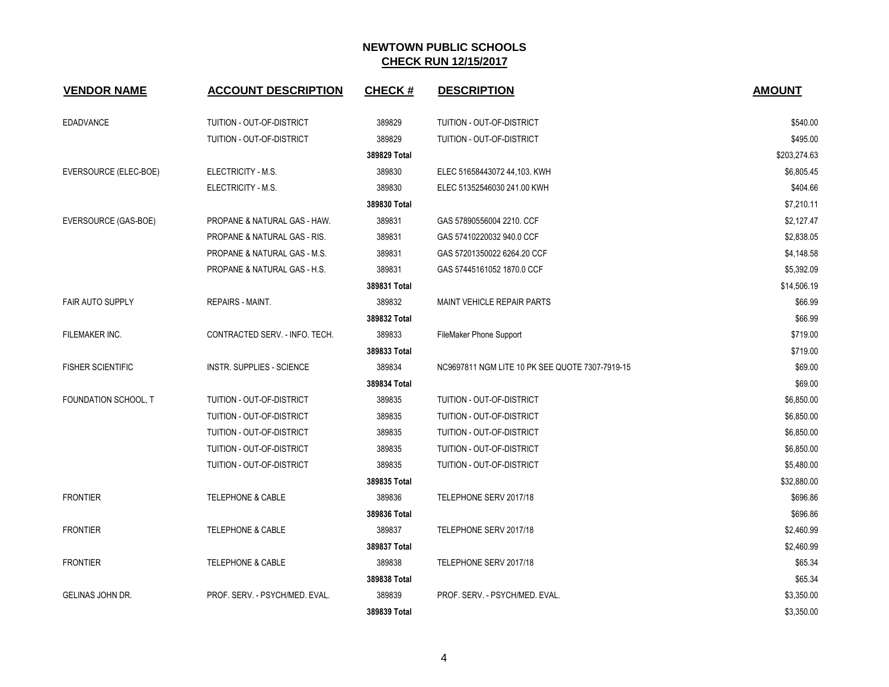| <b>VENDOR NAME</b>       | <b>ACCOUNT DESCRIPTION</b>     | <b>CHECK#</b> | <b>DESCRIPTION</b>                              | <b>AMOUNT</b> |
|--------------------------|--------------------------------|---------------|-------------------------------------------------|---------------|
| <b>EDADVANCE</b>         | TUITION - OUT-OF-DISTRICT      | 389829        | TUITION - OUT-OF-DISTRICT                       | \$540.00      |
|                          | TUITION - OUT-OF-DISTRICT      | 389829        | TUITION - OUT-OF-DISTRICT                       | \$495.00      |
|                          |                                | 389829 Total  |                                                 | \$203,274.63  |
| EVERSOURCE (ELEC-BOE)    | ELECTRICITY - M.S.             | 389830        | ELEC 51658443072 44,103. KWH                    | \$6,805.45    |
|                          | ELECTRICITY - M.S.             | 389830        | ELEC 51352546030 241.00 KWH                     | \$404.66      |
|                          |                                | 389830 Total  |                                                 | \$7,210.11    |
| EVERSOURCE (GAS-BOE)     | PROPANE & NATURAL GAS - HAW.   | 389831        | GAS 57890556004 2210. CCF                       | \$2,127.47    |
|                          | PROPANE & NATURAL GAS - RIS.   | 389831        | GAS 57410220032 940.0 CCF                       | \$2,838.05    |
|                          | PROPANE & NATURAL GAS - M.S.   | 389831        | GAS 57201350022 6264.20 CCF                     | \$4,148.58    |
|                          | PROPANE & NATURAL GAS - H.S.   | 389831        | GAS 57445161052 1870.0 CCF                      | \$5,392.09    |
|                          |                                | 389831 Total  |                                                 | \$14,506.19   |
| <b>FAIR AUTO SUPPLY</b>  | REPAIRS - MAINT.               | 389832        | MAINT VEHICLE REPAIR PARTS                      | \$66.99       |
|                          |                                | 389832 Total  |                                                 | \$66.99       |
| FILEMAKER INC.           | CONTRACTED SERV. - INFO. TECH. | 389833        | FileMaker Phone Support                         | \$719.00      |
|                          |                                | 389833 Total  |                                                 | \$719.00      |
| <b>FISHER SCIENTIFIC</b> | INSTR. SUPPLIES - SCIENCE      | 389834        | NC9697811 NGM LITE 10 PK SEE QUOTE 7307-7919-15 | \$69.00       |
|                          |                                | 389834 Total  |                                                 | \$69.00       |
| FOUNDATION SCHOOL, T     | TUITION - OUT-OF-DISTRICT      | 389835        | TUITION - OUT-OF-DISTRICT                       | \$6,850.00    |
|                          | TUITION - OUT-OF-DISTRICT      | 389835        | TUITION - OUT-OF-DISTRICT                       | \$6,850.00    |
|                          | TUITION - OUT-OF-DISTRICT      | 389835        | TUITION - OUT-OF-DISTRICT                       | \$6,850.00    |
|                          | TUITION - OUT-OF-DISTRICT      | 389835        | TUITION - OUT-OF-DISTRICT                       | \$6,850.00    |
|                          | TUITION - OUT-OF-DISTRICT      | 389835        | TUITION - OUT-OF-DISTRICT                       | \$5,480.00    |
|                          |                                | 389835 Total  |                                                 | \$32,880.00   |
| <b>FRONTIER</b>          | <b>TELEPHONE &amp; CABLE</b>   | 389836        | TELEPHONE SERV 2017/18                          | \$696.86      |
|                          |                                | 389836 Total  |                                                 | \$696.86      |
| <b>FRONTIER</b>          | <b>TELEPHONE &amp; CABLE</b>   | 389837        | TELEPHONE SERV 2017/18                          | \$2,460.99    |
|                          |                                | 389837 Total  |                                                 | \$2,460.99    |
| <b>FRONTIER</b>          | <b>TELEPHONE &amp; CABLE</b>   | 389838        | TELEPHONE SERV 2017/18                          | \$65.34       |
|                          |                                | 389838 Total  |                                                 | \$65.34       |
| GELINAS JOHN DR.         | PROF. SERV. - PSYCH/MED. EVAL. | 389839        | PROF. SERV. - PSYCH/MED. EVAL.                  | \$3,350.00    |
|                          |                                | 389839 Total  |                                                 | \$3,350.00    |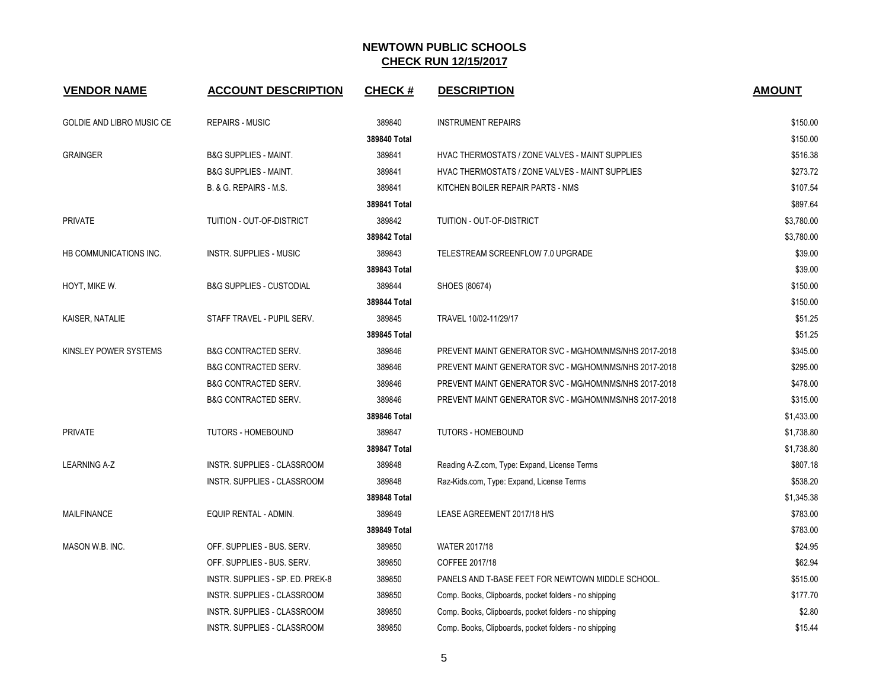| <b>VENDOR NAME</b>               | <b>ACCOUNT DESCRIPTION</b>          | <b>CHECK#</b> | <b>DESCRIPTION</b>                                     | <b>AMOUNT</b> |
|----------------------------------|-------------------------------------|---------------|--------------------------------------------------------|---------------|
| <b>GOLDIE AND LIBRO MUSIC CE</b> | <b>REPAIRS - MUSIC</b>              | 389840        | <b>INSTRUMENT REPAIRS</b>                              | \$150.00      |
|                                  |                                     | 389840 Total  |                                                        | \$150.00      |
| <b>GRAINGER</b>                  | <b>B&amp;G SUPPLIES - MAINT.</b>    | 389841        | HVAC THERMOSTATS / ZONE VALVES - MAINT SUPPLIES        | \$516.38      |
|                                  | <b>B&amp;G SUPPLIES - MAINT.</b>    | 389841        | HVAC THERMOSTATS / ZONE VALVES - MAINT SUPPLIES        | \$273.72      |
|                                  | B. & G. REPAIRS - M.S.              | 389841        | KITCHEN BOILER REPAIR PARTS - NMS                      | \$107.54      |
|                                  |                                     | 389841 Total  |                                                        | \$897.64      |
| <b>PRIVATE</b>                   | TUITION - OUT-OF-DISTRICT           | 389842        | TUITION - OUT-OF-DISTRICT                              | \$3,780.00    |
|                                  |                                     | 389842 Total  |                                                        | \$3,780.00    |
| HB COMMUNICATIONS INC.           | <b>INSTR. SUPPLIES - MUSIC</b>      | 389843        | TELESTREAM SCREENFLOW 7.0 UPGRADE                      | \$39.00       |
|                                  |                                     | 389843 Total  |                                                        | \$39.00       |
| HOYT, MIKE W.                    | <b>B&amp;G SUPPLIES - CUSTODIAL</b> | 389844        | SHOES (80674)                                          | \$150.00      |
|                                  |                                     | 389844 Total  |                                                        | \$150.00      |
| KAISER, NATALIE                  | STAFF TRAVEL - PUPIL SERV.          | 389845        | TRAVEL 10/02-11/29/17                                  | \$51.25       |
|                                  |                                     | 389845 Total  |                                                        | \$51.25       |
| KINSLEY POWER SYSTEMS            | <b>B&amp;G CONTRACTED SERV.</b>     | 389846        | PREVENT MAINT GENERATOR SVC - MG/HOM/NMS/NHS 2017-2018 | \$345.00      |
|                                  | <b>B&amp;G CONTRACTED SERV.</b>     | 389846        | PREVENT MAINT GENERATOR SVC - MG/HOM/NMS/NHS 2017-2018 | \$295.00      |
|                                  | <b>B&amp;G CONTRACTED SERV.</b>     | 389846        | PREVENT MAINT GENERATOR SVC - MG/HOM/NMS/NHS 2017-2018 | \$478.00      |
|                                  | <b>B&amp;G CONTRACTED SERV.</b>     | 389846        | PREVENT MAINT GENERATOR SVC - MG/HOM/NMS/NHS 2017-2018 | \$315.00      |
|                                  |                                     | 389846 Total  |                                                        | \$1,433.00    |
| <b>PRIVATE</b>                   | <b>TUTORS - HOMEBOUND</b>           | 389847        | <b>TUTORS - HOMEBOUND</b>                              | \$1,738.80    |
|                                  |                                     | 389847 Total  |                                                        | \$1,738.80    |
| <b>LEARNING A-Z</b>              | INSTR. SUPPLIES - CLASSROOM         | 389848        | Reading A-Z.com, Type: Expand, License Terms           | \$807.18      |
|                                  | INSTR. SUPPLIES - CLASSROOM         | 389848        | Raz-Kids.com, Type: Expand, License Terms              | \$538.20      |
|                                  |                                     | 389848 Total  |                                                        | \$1,345.38    |
| <b>MAILFINANCE</b>               | <b>EQUIP RENTAL - ADMIN.</b>        | 389849        | LEASE AGREEMENT 2017/18 H/S                            | \$783.00      |
|                                  |                                     | 389849 Total  |                                                        | \$783.00      |
| MASON W.B. INC.                  | OFF. SUPPLIES - BUS. SERV.          | 389850        | WATER 2017/18                                          | \$24.95       |
|                                  | OFF. SUPPLIES - BUS. SERV.          | 389850        | COFFEE 2017/18                                         | \$62.94       |
|                                  | INSTR. SUPPLIES - SP. ED. PREK-8    | 389850        | PANELS AND T-BASE FEET FOR NEWTOWN MIDDLE SCHOOL.      | \$515.00      |
|                                  | INSTR. SUPPLIES - CLASSROOM         | 389850        | Comp. Books, Clipboards, pocket folders - no shipping  | \$177.70      |
|                                  | INSTR. SUPPLIES - CLASSROOM         | 389850        | Comp. Books, Clipboards, pocket folders - no shipping  | \$2.80        |
|                                  | INSTR. SUPPLIES - CLASSROOM         | 389850        | Comp. Books, Clipboards, pocket folders - no shipping  | \$15.44       |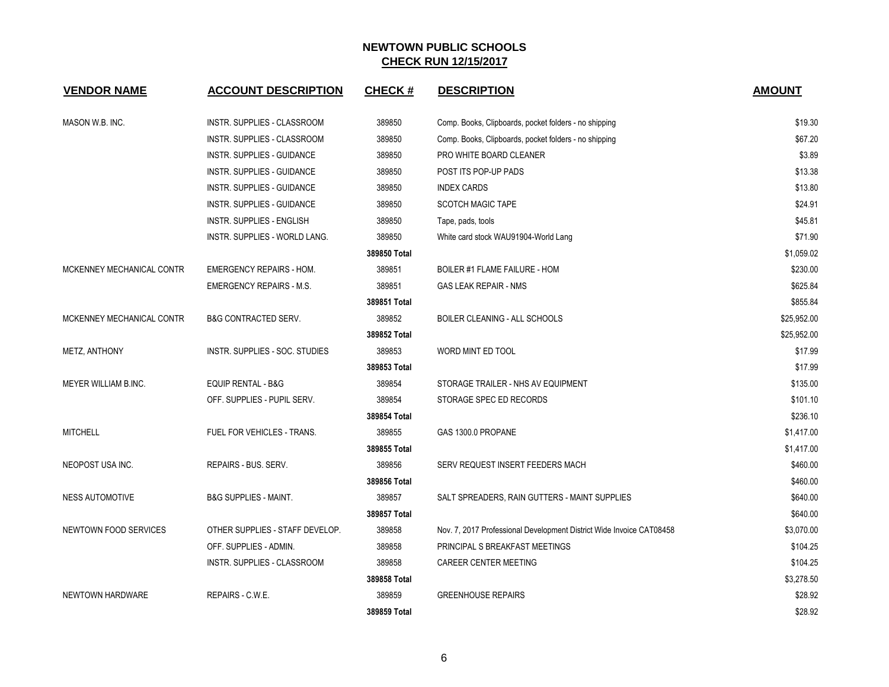| <b>VENDOR NAME</b>        | <b>ACCOUNT DESCRIPTION</b>        | <b>CHECK#</b> | <b>DESCRIPTION</b>                                                   | <b>AMOUNT</b> |
|---------------------------|-----------------------------------|---------------|----------------------------------------------------------------------|---------------|
| MASON W.B. INC.           | INSTR. SUPPLIES - CLASSROOM       | 389850        | Comp. Books, Clipboards, pocket folders - no shipping                | \$19.30       |
|                           | INSTR. SUPPLIES - CLASSROOM       | 389850        | Comp. Books, Clipboards, pocket folders - no shipping                | \$67.20       |
|                           | INSTR. SUPPLIES - GUIDANCE        | 389850        | PRO WHITE BOARD CLEANER                                              | \$3.89        |
|                           | INSTR. SUPPLIES - GUIDANCE        | 389850        | POST ITS POP-UP PADS                                                 | \$13.38       |
|                           | <b>INSTR. SUPPLIES - GUIDANCE</b> | 389850        | <b>INDEX CARDS</b>                                                   | \$13.80       |
|                           | <b>INSTR. SUPPLIES - GUIDANCE</b> | 389850        | <b>SCOTCH MAGIC TAPE</b>                                             | \$24.91       |
|                           | <b>INSTR. SUPPLIES - ENGLISH</b>  | 389850        | Tape, pads, tools                                                    | \$45.81       |
|                           | INSTR. SUPPLIES - WORLD LANG.     | 389850        | White card stock WAU91904-World Lang                                 | \$71.90       |
|                           |                                   | 389850 Total  |                                                                      | \$1,059.02    |
| MCKENNEY MECHANICAL CONTR | <b>EMERGENCY REPAIRS - HOM.</b>   | 389851        | BOILER #1 FLAME FAILURE - HOM                                        | \$230.00      |
|                           | <b>EMERGENCY REPAIRS - M.S.</b>   | 389851        | <b>GAS LEAK REPAIR - NMS</b>                                         | \$625.84      |
|                           |                                   | 389851 Total  |                                                                      | \$855.84      |
| MCKENNEY MECHANICAL CONTR | <b>B&amp;G CONTRACTED SERV.</b>   | 389852        | <b>BOILER CLEANING - ALL SCHOOLS</b>                                 | \$25,952.00   |
|                           |                                   | 389852 Total  |                                                                      | \$25,952.00   |
| METZ, ANTHONY             | INSTR. SUPPLIES - SOC. STUDIES    | 389853        | WORD MINT ED TOOL                                                    | \$17.99       |
|                           |                                   | 389853 Total  |                                                                      | \$17.99       |
| MEYER WILLIAM B.INC.      | <b>EQUIP RENTAL - B&amp;G</b>     | 389854        | STORAGE TRAILER - NHS AV EQUIPMENT                                   | \$135.00      |
|                           | OFF. SUPPLIES - PUPIL SERV.       | 389854        | STORAGE SPEC ED RECORDS                                              | \$101.10      |
|                           |                                   | 389854 Total  |                                                                      | \$236.10      |
| <b>MITCHELL</b>           | FUEL FOR VEHICLES - TRANS.        | 389855        | GAS 1300.0 PROPANE                                                   | \$1,417.00    |
|                           |                                   | 389855 Total  |                                                                      | \$1,417.00    |
| NEOPOST USA INC.          | REPAIRS - BUS. SERV.              | 389856        | SERV REQUEST INSERT FEEDERS MACH                                     | \$460.00      |
|                           |                                   | 389856 Total  |                                                                      | \$460.00      |
| <b>NESS AUTOMOTIVE</b>    | <b>B&amp;G SUPPLIES - MAINT.</b>  | 389857        | SALT SPREADERS, RAIN GUTTERS - MAINT SUPPLIES                        | \$640.00      |
|                           |                                   | 389857 Total  |                                                                      | \$640.00      |
| NEWTOWN FOOD SERVICES     | OTHER SUPPLIES - STAFF DEVELOP.   | 389858        | Nov. 7, 2017 Professional Development District Wide Invoice CAT08458 | \$3,070.00    |
|                           | OFF. SUPPLIES - ADMIN.            | 389858        | PRINCIPAL S BREAKFAST MEETINGS                                       | \$104.25      |
|                           | INSTR. SUPPLIES - CLASSROOM       | 389858        | CAREER CENTER MEETING                                                | \$104.25      |
|                           |                                   | 389858 Total  |                                                                      | \$3,278.50    |
| <b>NEWTOWN HARDWARE</b>   | REPAIRS - C.W.E.                  | 389859        | <b>GREENHOUSE REPAIRS</b>                                            | \$28.92       |
|                           |                                   | 389859 Total  |                                                                      | \$28.92       |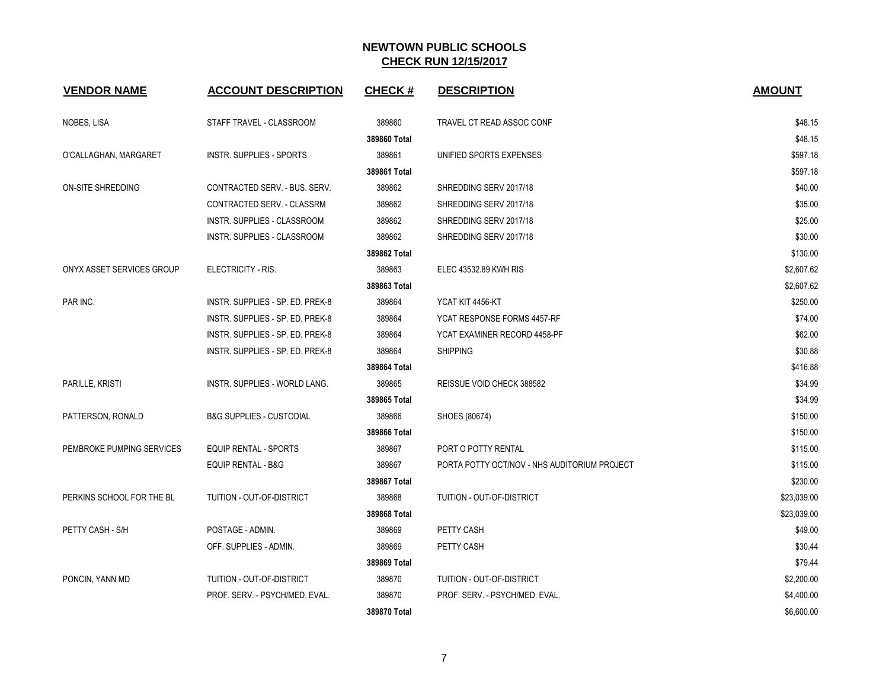| <b>VENDOR NAME</b>        | <b>ACCOUNT DESCRIPTION</b>          | <b>CHECK#</b> | <b>DESCRIPTION</b>                           | <b>AMOUNT</b> |
|---------------------------|-------------------------------------|---------------|----------------------------------------------|---------------|
| NOBES, LISA               | STAFF TRAVEL - CLASSROOM            | 389860        | TRAVEL CT READ ASSOC CONF                    | \$48.15       |
|                           |                                     | 389860 Total  |                                              | \$48.15       |
| O'CALLAGHAN, MARGARET     | <b>INSTR. SUPPLIES - SPORTS</b>     | 389861        | UNIFIED SPORTS EXPENSES                      | \$597.18      |
|                           |                                     | 389861 Total  |                                              | \$597.18      |
| ON-SITE SHREDDING         | CONTRACTED SERV. - BUS. SERV.       | 389862        | SHREDDING SERV 2017/18                       | \$40.00       |
|                           | CONTRACTED SERV. - CLASSRM          | 389862        | SHREDDING SERV 2017/18                       | \$35.00       |
|                           | INSTR. SUPPLIES - CLASSROOM         | 389862        | SHREDDING SERV 2017/18                       | \$25.00       |
|                           | INSTR. SUPPLIES - CLASSROOM         | 389862        | SHREDDING SERV 2017/18                       | \$30.00       |
|                           |                                     | 389862 Total  |                                              | \$130.00      |
| ONYX ASSET SERVICES GROUP | ELECTRICITY - RIS.                  | 389863        | ELEC 43532.89 KWH RIS                        | \$2,607.62    |
|                           |                                     | 389863 Total  |                                              | \$2,607.62    |
| PAR INC.                  | INSTR. SUPPLIES - SP. ED. PREK-8    | 389864        | YCAT KIT 4456-KT                             | \$250.00      |
|                           | INSTR. SUPPLIES - SP. ED. PREK-8    | 389864        | YCAT RESPONSE FORMS 4457-RF                  | \$74.00       |
|                           | INSTR. SUPPLIES - SP. ED. PREK-8    | 389864        | YCAT EXAMINER RECORD 4458-PF                 | \$62.00       |
|                           | INSTR. SUPPLIES - SP. ED. PREK-8    | 389864        | <b>SHIPPING</b>                              | \$30.88       |
|                           |                                     | 389864 Total  |                                              | \$416.88      |
| PARILLE, KRISTI           | INSTR. SUPPLIES - WORLD LANG.       | 389865        | REISSUE VOID CHECK 388582                    | \$34.99       |
|                           |                                     | 389865 Total  |                                              | \$34.99       |
| PATTERSON, RONALD         | <b>B&amp;G SUPPLIES - CUSTODIAL</b> | 389866        | SHOES (80674)                                | \$150.00      |
|                           |                                     | 389866 Total  |                                              | \$150.00      |
| PEMBROKE PUMPING SERVICES | <b>EQUIP RENTAL - SPORTS</b>        | 389867        | PORT O POTTY RENTAL                          | \$115.00      |
|                           | <b>EQUIP RENTAL - B&amp;G</b>       | 389867        | PORTA POTTY OCT/NOV - NHS AUDITORIUM PROJECT | \$115.00      |
|                           |                                     | 389867 Total  |                                              | \$230.00      |
| PERKINS SCHOOL FOR THE BL | TUITION - OUT-OF-DISTRICT           | 389868        | TUITION - OUT-OF-DISTRICT                    | \$23,039.00   |
|                           |                                     | 389868 Total  |                                              | \$23,039.00   |
| PETTY CASH - S/H          | POSTAGE - ADMIN.                    | 389869        | PETTY CASH                                   | \$49.00       |
|                           | OFF. SUPPLIES - ADMIN.              | 389869        | PETTY CASH                                   | \$30.44       |
|                           |                                     | 389869 Total  |                                              | \$79.44       |
| PONCIN, YANN MD           | TUITION - OUT-OF-DISTRICT           | 389870        | TUITION - OUT-OF-DISTRICT                    | \$2,200.00    |
|                           | PROF. SERV. - PSYCH/MED. EVAL.      | 389870        | PROF. SERV. - PSYCH/MED. EVAL.               | \$4,400.00    |
|                           |                                     | 389870 Total  |                                              | \$6,600.00    |